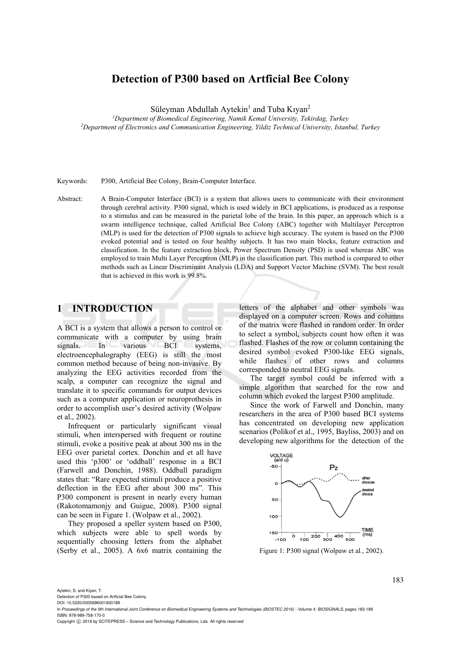# **Detection of P300 based on Artficial Bee Colony**

Süleyman Abdullah Aytekin<sup>1</sup> and Tuba Kıyan<sup>2</sup>

*1Department of Biomedical Engineering, Namik Kemal University, Tekirdag, Turkey 2Department of Electronics and Communication Engineering, Yildiz Technical University, Istanbul, Turkey* 

Keywords: P300, Artificial Bee Colony, Brain-Computer Interface.

Abstract: A Brain-Computer Interface (BCI) is a system that allows users to communicate with their environment through cerebral activity. P300 signal, which is used widely in BCI applications, is produced as a response to a stimulus and can be measured in the parietal lobe of the brain. In this paper, an approach which is a swarm intelligence technique, called Artificial Bee Colony (ABC) together with Multilayer Perceptron (MLP) is used for the detection of P300 signals to achieve high accuracy. The system is based on the P300 evoked potential and is tested on four healthy subjects. It has two main blocks, feature extraction and classification. In the feature extraction block, Power Spectrum Density (PSD) is used whereas ABC was employed to train Multi Layer Perceptron (MLP) in the classification part. This method is compared to other methods such as Linear Discriminant Analysis (LDA) and Support Vector Machine (SVM). The best result that is achieved in this work is 99.8%.

# **1 INTRODUCTION**

A BCI is a system that allows a person to control or communicate with a computer by using brain signals. In various BCI systems, electroencephalography (EEG) is still the most common method because of being non-invasive. By analyzing the EEG activities recorded from the scalp, a computer can recognize the signal and translate it to specific commands for output devices such as a computer application or neuroprothesis in order to accomplish user's desired activity (Wolpaw et al., 2002).

Infrequent or particularly significant visual stimuli, when interspersed with frequent or routine stimuli, evoke a positive peak at about 300 ms in the EEG over parietal cortex. Donchin and et all have used this 'p300' or 'oddball' response in a BCI (Farwell and Donchin, 1988). Oddball paradigm states that: "Rare expected stimuli produce a positive deflection in the EEG after about 300 ms". This P300 component is present in nearly every human (Rakotomamonjy and Guigue, 2008). P300 signal can be seen in Figure 1. (Wolpaw et al., 2002).

They proposed a speller system based on P300, which subjects were able to spell words by sequentially choosing letters from the alphabet (Serby et al., 2005). A 6x6 matrix containing the

letters of the alphabet and other symbols was displayed on a computer screen. Rows and columns of the matrix were flashed in random order. In order to select a symbol, subjects count how often it was flashed. Flashes of the row or column containing the desired symbol evoked P300-like EEG signals, while flashes of other rows and columns corresponded to neutral EEG signals.

The target symbol could be inferred with a simple algorithm that searched for the row and column which evoked the largest P300 amplitude.

Since the work of Farwell and Donchin, many researchers in the area of P300 based BCI systems has concentrated on developing new application scenarios (Polikof et al., 1995, Bayliss, 2003) and on developing new algorithms for the detection of the



Figure 1: P300 signal (Wolpaw et al., 2002).

Aytekin, S. and Kiyan, T.

Detection of P300 based on Artficial Bee Colony. DOI: 10.5220/0005696001830189

183

In *Proceedings of the 9th International Joint Conference on Biomedical Engineering Systems and Technologies (BIOSTEC 2016) - Volume 4: BIOSIGNALS*, pages 183-189 ISBN: 978-989-758-170-0

Copyright (C) 2016 by SCITEPRESS - Science and Technology Publications, Lda. All rights reserved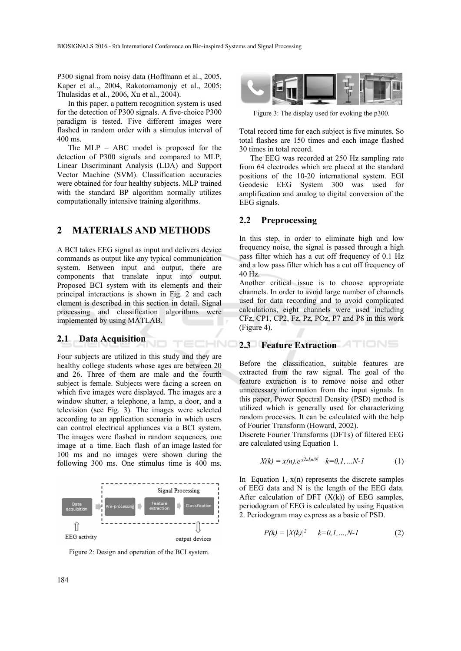P300 signal from noisy data (Hoffmann et al., 2005, Kaper et al.,, 2004, Rakotomamonjy et al., 2005; Thulasidas et al., 2006, Xu et al., 2004).

In this paper, a pattern recognition system is used for the detection of P300 signals. A five-choice P300 paradigm is tested. Five different images were flashed in random order with a stimulus interval of 400 ms.

The MLP – ABC model is proposed for the detection of P300 signals and compared to MLP, Linear Discriminant Analysis (LDA) and Support Vector Machine (SVM). Classification accuracies were obtained for four healthy subjects. MLP trained with the standard BP algorithm normally utilizes computationally intensive training algorithms.

# **2 MATERIALS AND METHODS**

A BCI takes EEG signal as input and delivers device commands as output like any typical communication system. Between input and output, there are components that translate input into output. Proposed BCI system with its elements and their principal interactions is shown in Fig. 2 and each element is described in this section in detail. Signal processing and classification algorithms were implemented by using MATLAB.

TECHNO

#### **2.1 Data Acquisition**

Four subjects are utilized in this study and they are healthy college students whose ages are between 20 and 26. Three of them are male and the fourth subject is female. Subjects were facing a screen on which five images were displayed. The images are a window shutter, a telephone, a lamp, a door, and a television (see Fig. 3). The images were selected according to an application scenario in which users can control electrical appliances via a BCI system. The images were flashed in random sequences, one image at a time. Each flash of an image lasted for 100 ms and no images were shown during the following 300 ms. One stimulus time is 400 ms.



Figure 2: Design and operation of the BCI system.



Figure 3: The display used for evoking the p300.

Total record time for each subject is five minutes. So total flashes are 150 times and each image flashed 30 times in total record.

The EEG was recorded at 250 Hz sampling rate from 64 electrodes which are placed at the standard positions of the 10-20 international system. EGI Geodesic EEG System 300 was used for amplification and analog to digital conversion of the EEG signals.

#### **2.2 Preprocessing**

In this step, in order to eliminate high and low frequency noise, the signal is passed through a high pass filter which has a cut off frequency of 0.1 Hz and a low pass filter which has a cut off frequency of 40 Hz.

Another critical issue is to choose appropriate channels. In order to avoid large number of channels used for data recording and to avoid complicated calculations, eight channels were used including CFz, CP1, CP2, Fz, Pz, POz, P7 and P8 in this work (Figure 4).

### **2.3 Feature Extraction**

Before the classification, suitable features are extracted from the raw signal. The goal of the feature extraction is to remove noise and other unnecessary information from the input signals. In this paper, Power Spectral Density (PSD) method is utilized which is generally used for characterizing random processes. It can be calculated with the help of Fourier Transform (Howard, 2002).

Discrete Fourier Transforms (DFTs) of filtered EEG are calculated using Equation 1.

$$
X(k) = x(n).e^{-j2\pi kn/N} \quad k=0,1,...N-1 \tag{1}
$$

In Equation 1,  $x(n)$  represents the discrete samples of EEG data and N is the length of the EEG data. After calculation of DFT  $(X(k))$  of EEG samples, periodogram of EEG is calculated by using Equation 2. Periodogram may express as a basic of PSD.

$$
P(k) = |X(k)|^2 \qquad k=0,1,...,N-1 \tag{2}
$$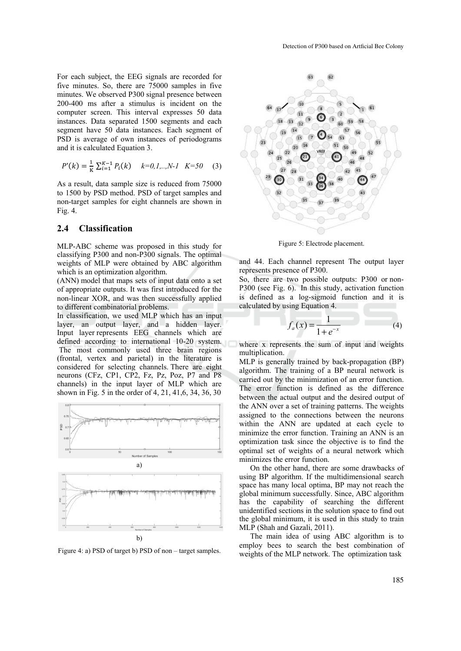For each subject, the EEG signals are recorded for five minutes. So, there are 75000 samples in five minutes. We observed P300 signal presence between 200-400 ms after a stimulus is incident on the computer screen. This interval expresses 50 data instances. Data separated 1500 segments and each segment have 50 data instances. Each segment of PSD is average of own instances of periodograms and it is calculated Equation 3.

$$
P'(k) = \frac{1}{\kappa} \sum_{i=1}^{K-1} P_i(k) \quad k=0,1,..,N-1 \quad K=50 \quad (3)
$$

As a result, data sample size is reduced from 75000 to 1500 by PSD method. PSD of target samples and non-target samples for eight channels are shown in Fig. 4.

## **2.4 Classification**

MLP-ABC scheme was proposed in this study for classifying P300 and non-P300 signals. The optimal weights of MLP were obtained by ABC algorithm which is an optimization algorithm.

(ANN) model that maps sets of input data onto a set of appropriate outputs. It was first introduced for the non-linear XOR, and was then successfully applied to different combinatorial problems.

In classification, we used MLP which has an input layer, an output layer, and a hidden layer. Input layer represents EEG channels which are defined according to international 10-20 system. The most commonly used three brain regions (frontal, vertex and parietal) in the literature is considered for selecting channels. There are eight neurons (CFz, CP1, CP2, Fz, Pz, Poz, P7 and P8 channels) in the input layer of MLP which are shown in Fig. 5 in the order of 4, 21, 41,6, 34, 36, 30



Figure 4: a) PSD of target b) PSD of non – target samples.



Figure 5: Electrode placement.

and 44. Each channel represent The output layer represents presence of P300.

So, there are two possible outputs: P300 or non-P300 (see Fig. 6). In this study, activation function is defined as a log-sigmoid function and it is calculated by using Equation 4.

$$
f_a(x) = \frac{1}{1 + e^{-x}}
$$
 (4)

where x represents the sum of input and weights multiplication.

MLP is generally trained by back-propagation (BP) algorithm. The training of a BP neural network is carried out by the minimization of an error function. The error function is defined as the difference between the actual output and the desired output of the ANN over a set of training patterns. The weights assigned to the connections between the neurons within the ANN are updated at each cycle to minimize the error function. Training an ANN is an optimization task since the objective is to find the optimal set of weights of a neural network which minimizes the error function.

On the other hand, there are some drawbacks of using BP algorithm. If the multidimensional search space has many local optima, BP may not reach the global minimum successfully. Since, ABC algorithm has the capability of searching the different unidentified sections in the solution space to find out the global minimum, it is used in this study to train MLP (Shah and Gazali, 2011).

The main idea of using ABC algorithm is to employ bees to search the best combination of weights of the MLP network. The optimization task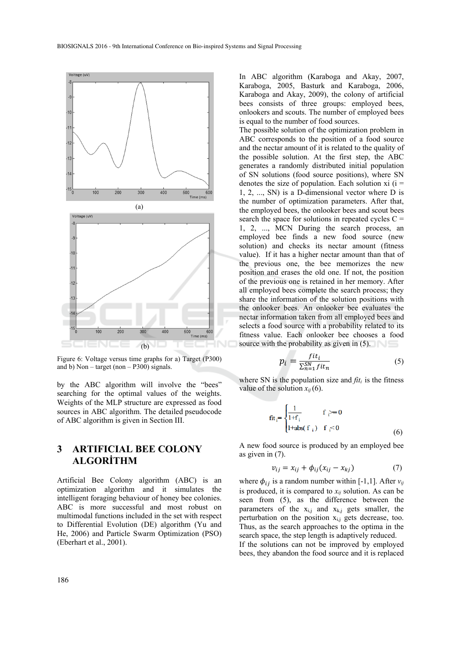

Figure 6: Voltage versus time graphs for a) Target (P300) and b) Non – target (non – P300) signals.

by the ABC algorithm will involve the "bees" searching for the optimal values of the weights. Weights of the MLP structure are expressed as food sources in ABC algorithm. The detailed pseudocode of ABC algorithm is given in Section III.

# **3 ARTIFICIAL BEE COLONY ALGORİTHM**

Artificial Bee Colony algorithm (ABC) is an optimization algorithm and it simulates the intelligent foraging behaviour of honey bee colonies. ABC is more successful and most robust on multimodal functions included in the set with respect to Differential Evolution (DE) algorithm (Yu and He, 2006) and Particle Swarm Optimization (PSO) (Eberhart et al., 2001).

In ABC algorithm (Karaboga and Akay, 2007, Karaboga, 2005, Basturk and Karaboga, 2006, Karaboga and Akay, 2009), the colony of artificial bees consists of three groups: employed bees, onlookers and scouts. The number of employed bees is equal to the number of food sources.

The possible solution of the optimization problem in ABC corresponds to the position of a food source and the nectar amount of it is related to the quality of the possible solution. At the first step, the ABC generates a randomly distributed initial population of SN solutions (food source positions), where SN denotes the size of population. Each solution  $xi$  (i = 1, 2, ..., SN) is a D-dimensional vector where D is the number of optimization parameters. After that, the employed bees, the onlooker bees and scout bees search the space for solutions in repeated cycles  $C =$ 1, 2, ..., MCN During the search process, an employed bee finds a new food source (new solution) and checks its nectar amount (fitness value). If it has a higher nectar amount than that of the previous one, the bee memorizes the new position and erases the old one. If not, the position of the previous one is retained in her memory. After all employed bees complete the search process; they share the information of the solution positions with the onlooker bees. An onlooker bee evaluates the nectar information taken from all employed bees and selects a food source with a probability related to its fitness value. Each onlooker bee chooses a food source with the probability as given in  $(5)$ .

$$
p_i = \frac{fit_i}{\sum_{n=1}^{SN} fit_n} \tag{5}
$$

where SN is the population size and  $\hat{t}t_i$  is the fitness value of the solution  $x_{ii}$  (6).

$$
\tilde{f}_{tt} = \begin{cases} \frac{1}{1+f_i} & f_i \ge 0\\ 1 + abs(f_i) & f_i < 0 \end{cases}
$$
 (6)

A new food source is produced by an employed bee as given in (7).

$$
v_{ij} = x_{ij} + \phi_{ij}(x_{ij} - x_{kj})
$$
\n<sup>(7)</sup>

where  $\phi_{ij}$  is a random number within [-1,1]. After  $v_{ij}$ is produced, it is compared to  $x_{ij}$  solution. As can be seen from (5), as the difference between the parameters of the  $x_{i,j}$  and  $x_{k,j}$  gets smaller, the perturbation on the position  $x_{i,j}$  gets decrease, too. Thus, as the search approaches to the optima in the search space, the step length is adaptively reduced.

If the solutions can not be improved by employed bees, they abandon the food source and it is replaced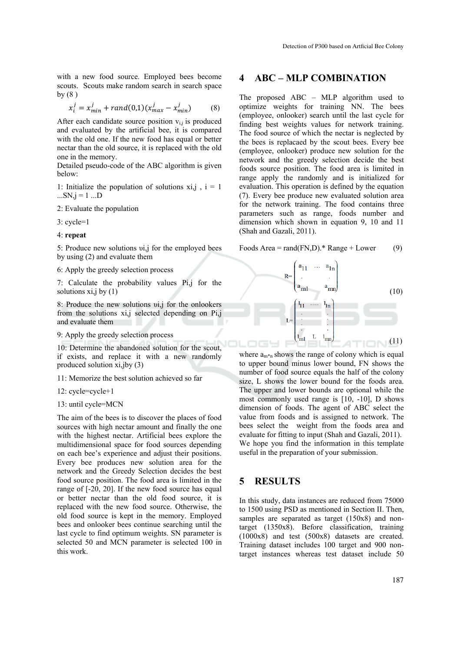with a new food source. Employed bees become scouts. Scouts make random search in search space by  $(8)$ 

$$
x_i^j = x_{min}^j + rand(0,1)(x_{max}^j - x_{min}^j)
$$
 (8)

After each candidate source position  $v_{i,j}$  is produced and evaluated by the artificial bee, it is compared with the old one. If the new food has equal or better nectar than the old source, it is replaced with the old one in the memory.

Detailed pseudo-code of the ABC algorithm is given below:

1: Initialize the population of solutions  $xi$ ,  $i = 1$  $...SN$ ,  $j = 1$  ...  $D$ 

2: Evaluate the population

3: cycle=1

4: **repeat**

5: Produce new solutions υi,j for the employed bees by using (2) and evaluate them

#### 6: Apply the greedy selection process

7: Calculate the probability values Pi,j for the solutions xi,j by  $(1)$ 

8: Produce the new solutions υi,j for the onlookers from the solutions xi,j selected depending on Pi,j and evaluate them

9: Apply the greedy selection process

10: Determine the abandoned solution for the scout, if exists, and replace it with a new randomly produced solution xi,jby (3)

11: Memorize the best solution achieved so far

- 12: cycle=cycle+1
- 13: until cycle=MCN

The aim of the bees is to discover the places of food sources with high nectar amount and finally the one with the highest nectar. Artificial bees explore the multidimensional space for food sources depending on each bee's experience and adjust their positions. Every bee produces new solution area for the network and the Greedy Selection decides the best food source position. The food area is limited in the range of [-20, 20]. If the new food source has equal or better nectar than the old food source, it is replaced with the new food source. Otherwise, the old food source is kept in the memory. Employed bees and onlooker bees continue searching until the last cycle to find optimum weights. SN parameter is selected 50 and MCN parameter is selected 100 in this work.

## **4 ABC – MLP COMBINATION**

The proposed ABC – MLP algorithm used to optimize weights for training NN. The bees (employee, onlooker) search until the last cycle for finding best weights values for network training. The food source of which the nectar is neglected by the bees is replacaed by the scout bees. Every bee (employee, onlooker) produce new solution for the network and the greedy selection decide the best foods source position. The food area is limited in range apply the randomly and is initialized for evaluation. This operation is defined by the equation (7). Every bee produce new evaluated solution area for the network training. The food contains three parameters such as range, foods number and dimension which shown in equation 9, 10 and 11 (Shah and Gazali, 2011).

Foods Area = rand(FN,D).\* Range + Lower (9)



where  $a_{m^*n}$  shows the range of colony which is equal to upper bound minus lower bound, FN shows the number of food source equals the half of the colony size, L shows the lower bound for the foods area. The upper and lower bounds are optional while the most commonly used range is [10, -10], D shows dimension of foods. The agent of ABC select the value from foods and is assigned to network. The bees select the weight from the foods area and evaluate for fitting to input (Shah and Gazali, 2011). We hope you find the information in this template useful in the preparation of your submission.

## **5 RESULTS**

In this study, data instances are reduced from 75000 to 1500 using PSD as mentioned in Section II. Then, samples are separated as target (150x8) and nontarget (1350x8). Before classification, training (1000x8) and test (500x8) datasets are created. Training dataset includes 100 target and 900 nontarget instances whereas test dataset include 50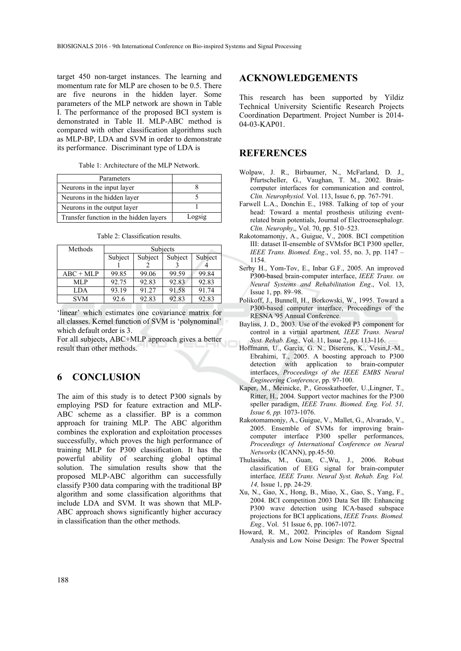target 450 non-target instances. The learning and momentum rate for MLP are chosen to be 0.5. There are five neurons in the hidden layer. Some parameters of the MLP network are shown in Table I. The performance of the proposed BCI system is demonstrated in Table II. MLP-ABC method is compared with other classification algorithms such as MLP-BP, LDA and SVM in order to demonstrate its performance. Discriminant type of LDA is

Table 1: Architecture of the MLP Network.

| Parameters                             |        |
|----------------------------------------|--------|
| Neurons in the input layer             |        |
| Neurons in the hidden layer            |        |
| Neurons in the output layer            |        |
| Transfer function in the hidden layers | Logsig |

| Methods     | Subjects |         |         |         |
|-------------|----------|---------|---------|---------|
|             | Subject  | Subject | Subject | Subject |
|             |          |         |         |         |
| $ABC + MLP$ | 99.85    | 99.06   | 99.59   | 99.84   |
| MLP         | 92.75    | 92.83   | 92.83   | 92.83   |
| <b>LDA</b>  | 93.19    | 91.27   | 91.58   | 91.74   |
| <b>SVM</b>  | 92.6     | 92.83   | 92.83   | 92.83   |

Table 2: Classification results.

'linear' which estimates one covariance matrix for all classes. Kernel function of SVM is 'polynominal' which default order is 3.

For all subjects, ABC+MLP approach gives a better result than other methods.

# **6 CONCLUSION**

The aim of this study is to detect P300 signals by employing PSD for feature extraction and MLP-ABC scheme as a classifier. BP is a common approach for training MLP. The ABC algorithm combines the exploration and exploitation processes successfully, which proves the high performance of training MLP for P300 classification. It has the powerful ability of searching global optimal solution. The simulation results show that the proposed MLP-ABC algorithm can successfully classify P300 data comparing with the traditional BP algorithm and some classification algorithms that include LDA and SVM. It was shown that MLP-ABC approach shows significantly higher accuracy in classification than the other methods.

## **ACKNOWLEDGEMENTS**

This research has been supported by Yildiz Technical University Scientific Research Projects Coordination Department. Project Number is 2014- 04-03-KAP01.

# **REFERENCES**

- Wolpaw, J. R., Birbaumer, N., McFarland, D. J., Pfurtscheller, G., Vaughan, T. M., 2002. Braincomputer interfaces for communication and control, *Clin. Neurophysiol.* Vol. 113, Issue 6, pp. 767-791.
- Farwell L.A., Donchin E., 1988. Talking of top of your head: Toward a mental prosthesis utilizing eventrelated brain potentials, Journal of Electroensephalogr. *Clin. Neurophy*,, Vol. 70, pp. 510–523.
- Rakotomamonjy, A., Guigue, V., 2008. BCI competition III: dataset II-ensemble of SVMsfor BCI P300 speller, *IEEE Trans. Biomed. Eng*., vol. 55, no. 3, pp. 1147 – 1154.
- Serby H., Yom-Tov, E., Inbar G.F., 2005. An improved P300-based brain-computer interface, *IEEE Trans. on Neural Systems and Rehabilitation Eng*., Vol. 13, Issue 1, pp. 89–98.
- Polikoff, J., Bunnell, H., Borkowski, W., 1995. Toward a P300-based computer interface, Proceedings of the RESNA '95 Annual Conference.
- Bayliss, J. D., 2003. Use of the evoked P3 component for control in a virtual apartment*, IEEE Trans. Neural Syst. Rehab. Eng.,* Vol. 11, Issue 2, pp. 113-116.
- Hoffmann, U., Garcia, G. N., Diserens, K., Vesin,J.-M., Ebrahimi, T., 2005. A boosting approach to P300 detection with application to brain-computer interfaces, *Proceedings of the IEEE EMBS Neural Engineering Conference*, pp. 97-100.
- Kaper, M., Meinicke, P., Grosskathoefer, U.,Lingner, T., Ritter, H., 2004. Support vector machines for the P300 speller paradigm, *IEEE Trans. Biomed. Eng. Vol. 51, Issue 6, pp.* 1073-1076.
- Rakotomamonjy, A., Guigue, V., Mallet, G., Alvarado, V., 2005. Ensemble of SVMs for improving braincomputer interface P300 speller performances, *Proceedings of International Conference on Neural Networks* (ICANN), pp.45-50.
- Thulasidas, M., Guan, C.,Wu, J., 2006. Robust classification of EEG signal for brain-computer interface*, IEEE Trans. Neural Syst. Rehab. Eng. Vol. 14,* Issue 1, pp. 24-29.
- Xu, N., Gao, X., Hong, B., Miao, X., Gao, S., Yang, F., 2004. BCI competition 2003 Data Set IIb: Enhancing P300 wave detection using ICA-based subspace projections for BCI applications, *IEEE Trans. Biomed. Eng.,* Vol. 51 Issue 6, pp. 1067-1072.
- Howard, R. M., 2002. Principles of Random Signal Analysis and Low Noise Design: The Power Spectral